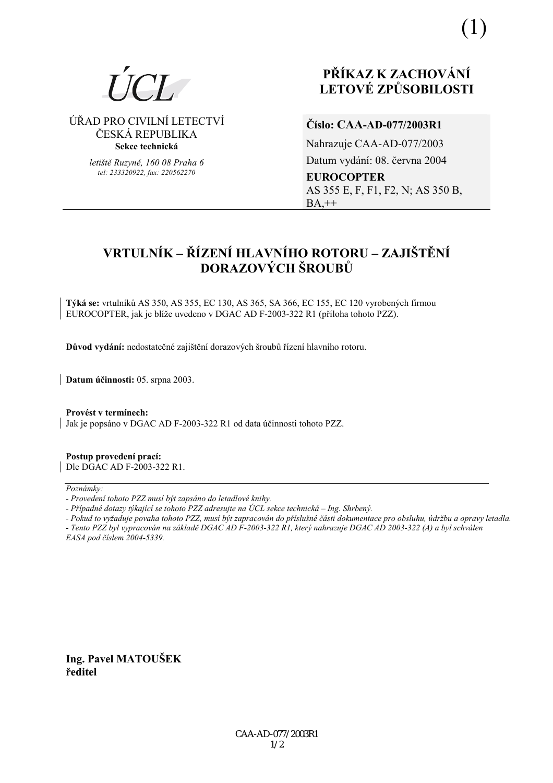

# ⁄ŘAD PRO CIVILNÕ LETECTVÕ ČESKÁ REPUBLIKA **Sekce technická**

*letiötě Ruzyně, 160 08 Praha 6 tel: 233320922, fax: 220562270*

# **PŘÍKAZ K ZACHOVÁNÍ LETOV… ZPŮSOBILOSTI**

# **ČÌslo: CAA-AD-077/2003R1**

Nahrazuje CAA-AD-077/2003 Datum vydání: 08. června 2004 **EUROCOPTER**  AS 355 E, F, F1, F2, N; AS 350 B,  $BA,++$ 

# **VRTULNÍK – ŘÍZENÍ HLAVNÍHO ROTORU – ZAJIŠTĚNÍ DORAZOVÝCH ŠROUBŮ**

**T˝k· se:** vrtulnÌků AS 350, AS 355, EC 130, AS 365, SA 366, EC 155, EC 120 vyroben˝ch firmou EUROCOPTER, jak je blíže uvedeno v DGAC AD F-2003-322 R1 (příloha tohoto PZZ).

Důvod vydání: nedostatečné zajištění dorazových šroubů řízení hlavního rotoru.

**Datum ˙činnosti:** 05. srpna 2003.

Provést v termínech: Jak je popsáno v DGAC AD F-2003-322 R1 od data účinnosti tohoto PZZ.

**Postup provedenÌ pracÌ:**  Dle DGAC AD F-2003-322 R1.

 $Poznámkv:$ 

*- Pokud to vyûaduje povaha tohoto PZZ, musÌ b˝t zapracov·n do přÌsluönÈ č·sti dokumentace pro obsluhu, ˙drûbu a opravy letadla.* 

*- Tento PZZ byl vypracov·n na z·kladě DGAC AD F-2003-322 R1, kter˝ nahrazuje DGAC AD 2003-322 (A) a byl schv·len EASA pod čÌslem 2004-5339.* 

**Ing. Pavel MATOUäEK ředitel** 

*<sup>-</sup> ProvedenÌ tohoto PZZ musÌ b˝t zaps·no do letadlovÈ knihy.* 

*<sup>-</sup> Případné dotazy týkající se tohoto PZZ adresujte na ÚCL sekce technická – Ing. Shrbený.*